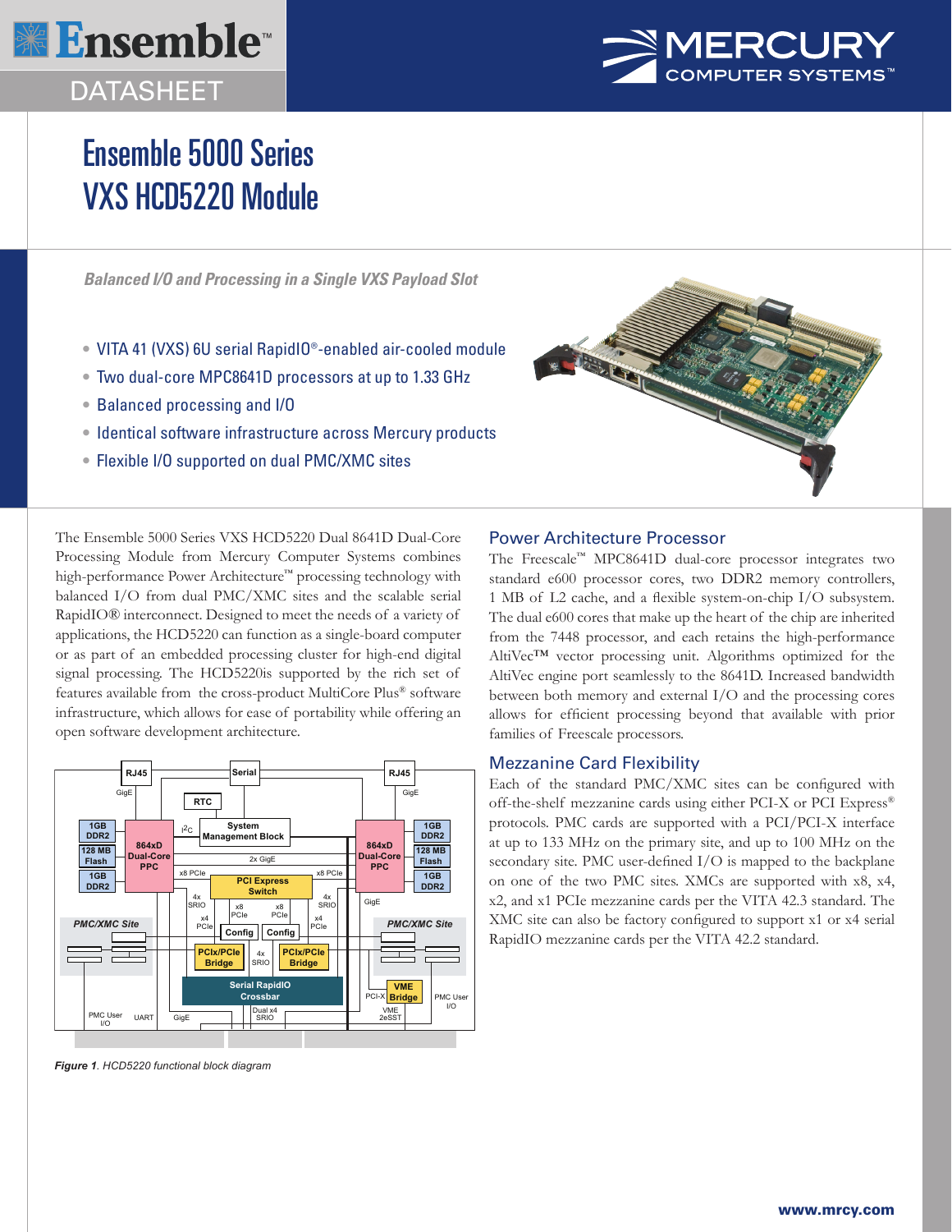

# DATASHEET



# Ensemble 5000 Series VXS HCD5220 Module

*Balanced I/O and Processing in a Single VXS Payload Slot*

- VITA 41 (VXS) 6U serial RapidIO®-enabled air-cooled module
- Two dual-core MPC8641D processors at up to 1.33 GHz
- Balanced processing and I/O
- Identical software infrastructure across Mercury products
- Flexible I/O supported on dual PMC/XMC sites



The Ensemble 5000 Series VXS HCD5220 Dual 8641D Dual-Core Processing Module from Mercury Computer Systems combines high-performance Power Architecture™ processing technology with balanced I/O from dual PMC/XMC sites and the scalable serial RapidIO® interconnect. Designed to meet the needs of a variety of applications, the HCD5220 can function as a single-board computer or as part of an embedded processing cluster for high-end digital signal processing. The HCD5220is supported by the rich set of features available from the cross-product MultiCore Plus® software infrastructure, which allows for ease of portability while offering an open software development architecture.



*Figure 1. HCD5220 functional block diagram*

# Power Architecture Processor

The Freescale™ MPC8641D dual-core processor integrates two standard e600 processor cores, two DDR2 memory controllers, 1 MB of L2 cache, and a flexible system-on-chip I/O subsystem. The dual e600 cores that make up the heart of the chip are inherited from the 7448 processor, and each retains the high-performance AltiVec™ vector processing unit. Algorithms optimized for the AltiVec engine port seamlessly to the 8641D. Increased bandwidth between both memory and external I/O and the processing cores allows for efficient processing beyond that available with prior families of Freescale processors.

# Mezzanine Card Flexibility

Each of the standard PMC/XMC sites can be configured with off-the-shelf mezzanine cards using either PCI-X or PCI Express® protocols. PMC cards are supported with a PCI/PCI-X interface at up to 133 MHz on the primary site, and up to 100 MHz on the secondary site. PMC user-defined I/O is mapped to the backplane on one of the two PMC sites. XMCs are supported with x8, x4, x2, and x1 PCIe mezzanine cards per the VITA 42.3 standard. The XMC site can also be factory configured to support x1 or x4 serial RapidIO mezzanine cards per the VITA 42.2 standard.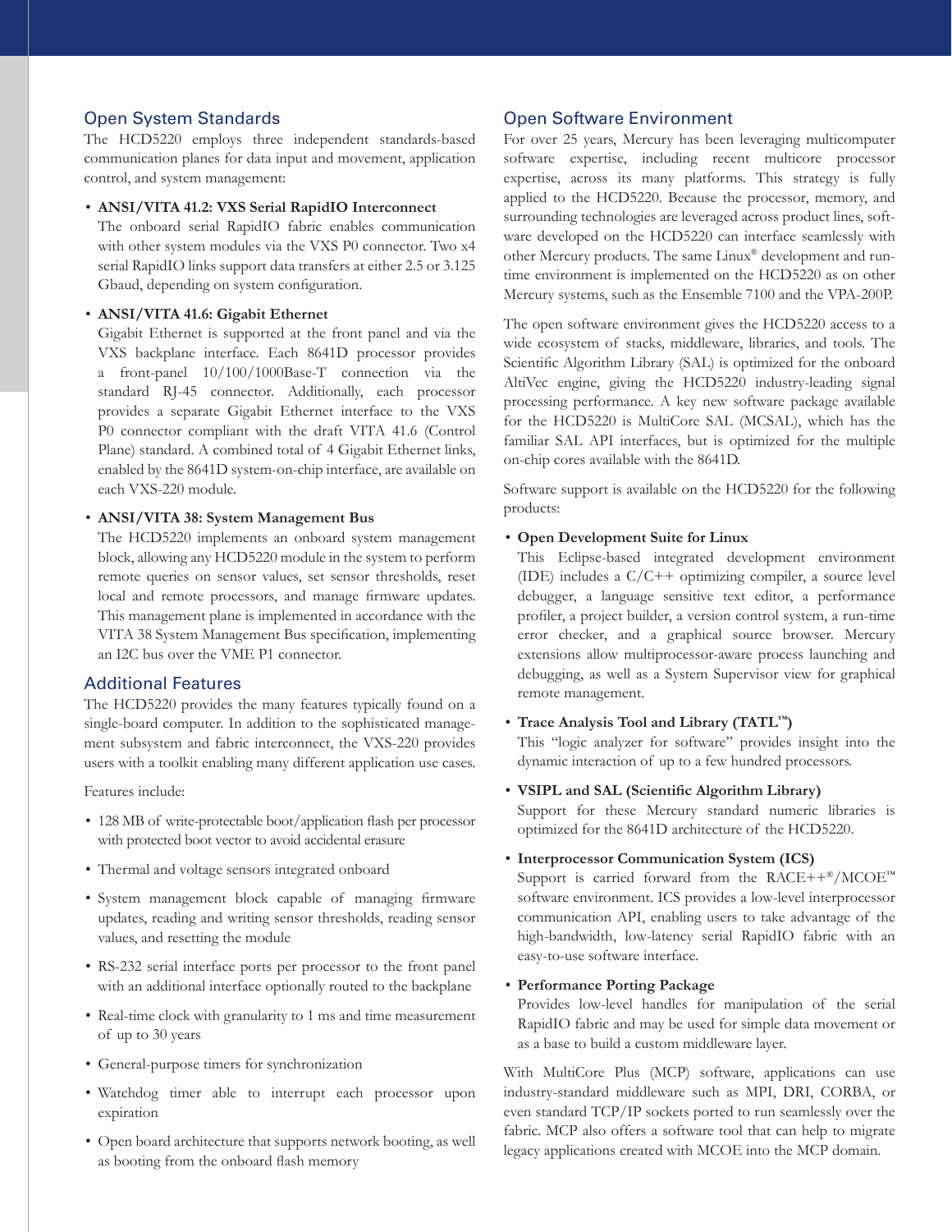# Open System Standards

The HCD5220 employs three independent standards-based communication planes for data input and movement, application control, and system management:

#### • **ANSI/VITA 41.2: VXS Serial RapidIO Interconnect**

The onboard serial RapidIO fabric enables communication with other system modules via the VXS P0 connector. Two x4 serial RapidIO links support data transfers at either 2.5 or 3.125 Gbaud, depending on system configuration.

#### • **ANSI/VITA 41.6: Gigabit Ethernet**

Gigabit Ethernet is supported at the front panel and via the VXS backplane interface. Each 8641D processor provides a front-panel 10/100/1000Base-T connection via the standard RJ-45 connector. Additionally, each processor provides a separate Gigabit Ethernet interface to the VXS P0 connector compliant with the draft VITA 41.6 (Control Plane) standard. A combined total of 4 Gigabit Ethernet links, enabled by the 8641D system-on-chip interface, are available on each VXS-220 module.

#### • **ANSI/VITA 38: System Management Bus**

The HCD5220 implements an onboard system management block, allowing any HCD5220 module in the system to perform remote queries on sensor values, set sensor thresholds, reset local and remote processors, and manage firmware updates. This management plane is implemented in accordance with the VITA 38 System Management Bus specification, implementing an I2C bus over the VME P1 connector.

# Additional Features

The HCD5220 provides the many features typically found on a single-board computer. In addition to the sophisticated management subsystem and fabric interconnect, the VXS-220 provides users with a toolkit enabling many different application use cases.

Features include:

- 128 MB of write-protectable boot/application flash per processor with protected boot vector to avoid accidental erasure
- Thermal and voltage sensors integrated onboard
- System management block capable of managing firmware updates, reading and writing sensor thresholds, reading sensor values, and resetting the module
- RS-232 serial interface ports per processor to the front panel with an additional interface optionally routed to the backplane
- Real-time clock with granularity to 1 ms and time measurement of up to 30 years
- General-purpose timers for synchronization
- Watchdog timer able to interrupt each processor upon expiration
- Open board architecture that supports network booting, as well as booting from the onboard flash memory

# Open Software Environment

For over 25 years, Mercury has been leveraging multicomputer software expertise, including recent multicore processor expertise, across its many platforms. This strategy is fully applied to the HCD5220. Because the processor, memory, and surrounding technologies are leveraged across product lines, software developed on the HCD5220 can interface seamlessly with other Mercury products. The same Linux® development and runtime environment is implemented on the HCD5220 as on other Mercury systems, such as the Ensemble 7100 and the VPA-200P.

The open software environment gives the HCD5220 access to a wide ecosystem of stacks, middleware, libraries, and tools. The Scientific Algorithm Library (SAL) is optimized for the onboard AltiVec engine, giving the HCD5220 industry-leading signal processing performance. A key new software package available for the HCD5220 is MultiCore SAL (MCSAL), which has the familiar SAL API interfaces, but is optimized for the multiple on-chip cores available with the 8641D.

Software support is available on the HCD5220 for the following products:

#### • **Open Development Suite for Linux**

This Eclipse-based integrated development environment (IDE) includes a C/C++ optimizing compiler, a source level debugger, a language sensitive text editor, a performance profiler, a project builder, a version control system, a run-time error checker, and a graphical source browser. Mercury extensions allow multiprocessor-aware process launching and debugging, as well as a System Supervisor view for graphical remote management.

#### • **Trace Analysis Tool and Library (TATL™)**

This "logic analyzer for software" provides insight into the dynamic interaction of up to a few hundred processors.

• **VSIPL and SAL (Scientific Algorithm Library)** 

Support for these Mercury standard numeric libraries is optimized for the 8641D architecture of the HCD5220.

#### • **Interprocessor Communication System (ICS)**

Support is carried forward from the RACE++ $^{\circ\circ}$ /MCOE<sup>™</sup> software environment. ICS provides a low-level interprocessor communication API, enabling users to take advantage of the high-bandwidth, low-latency serial RapidIO fabric with an easy-to-use software interface.

#### • **Performance Porting Package**

Provides low-level handles for manipulation of the serial RapidIO fabric and may be used for simple data movement or as a base to build a custom middleware layer.

With MultiCore Plus (MCP) software, applications can use industry-standard middleware such as MPI, DRI, CORBA, or even standard TCP/IP sockets ported to run seamlessly over the fabric. MCP also offers a software tool that can help to migrate legacy applications created with MCOE into the MCP domain.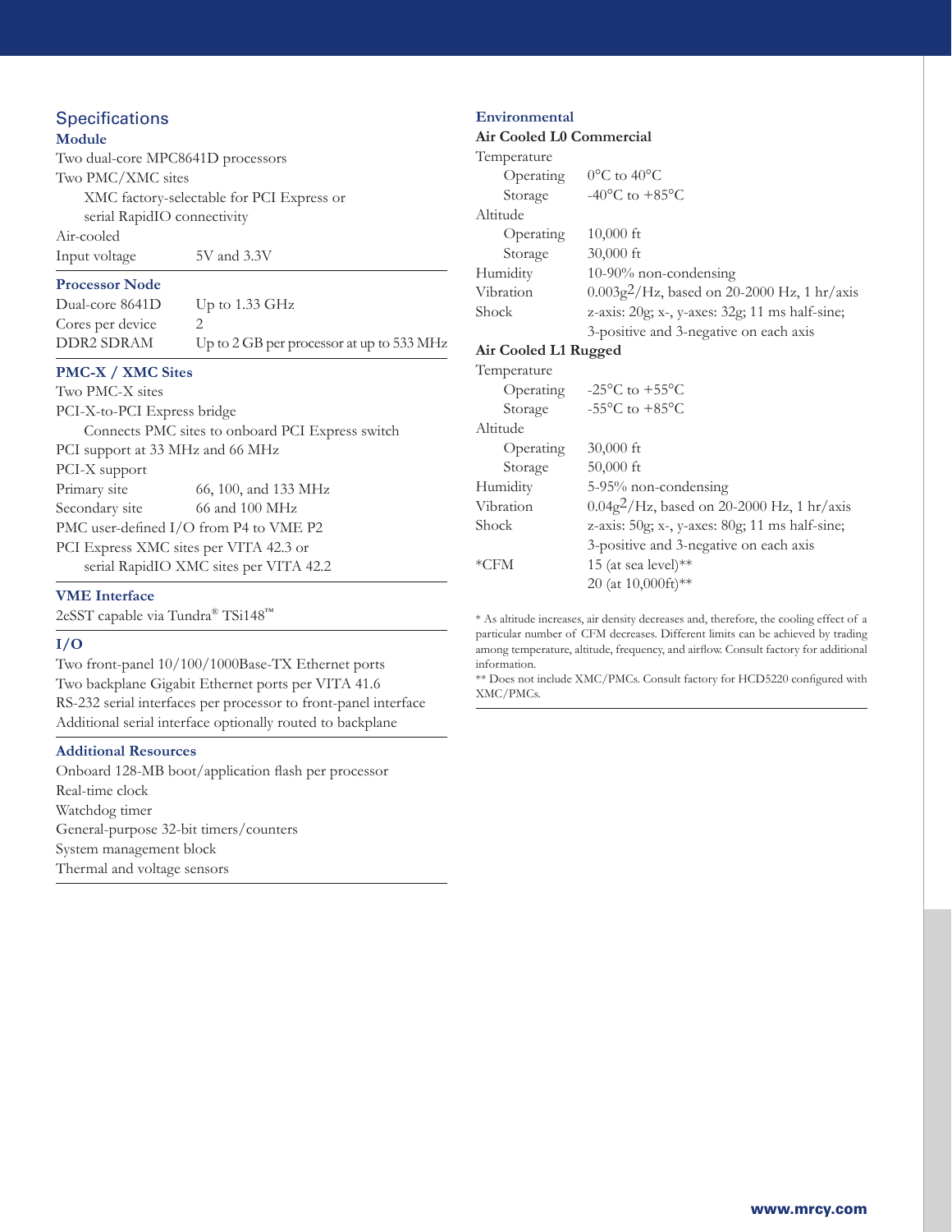# **Specifications**

# **Module**

Two dual-core MPC8641D processors Two PMC/XMC sites XMC factory-selectable for PCI Express or serial RapidIO connectivity Air-cooled Input voltage 5V and 3.3V

### **Processor Node**

| Dual-core 8641D  | Up to $1.33 \text{ GHz}$                  |
|------------------|-------------------------------------------|
| Cores per device |                                           |
| DDR2 SDRAM       | Up to 2 GB per processor at up to 533 MHz |

# **PMC-X / XMC Sites**

| Two PMC-X sites                        |                                                  |
|----------------------------------------|--------------------------------------------------|
| PCI-X-to-PCI Express bridge            |                                                  |
|                                        | Connects PMC sites to onboard PCI Express switch |
| PCI support at 33 MHz and 66 MHz       |                                                  |
| PCI-X support                          |                                                  |
| Primary site                           | 66, 100, and 133 MHz                             |
| Secondary site                         | 66 and 100 MHz                                   |
| PMC user-defined I/O from P4 to VME P2 |                                                  |
| PCI Express XMC sites per VITA 42.3 or |                                                  |
|                                        | serial RapidIO XMC sites per VITA 42.2           |
|                                        |                                                  |

#### **VME Interface**

2eSST capable via Tundra® TSi148™

#### **I/O**

Two front-panel 10/100/1000Base-TX Ethernet ports Two backplane Gigabit Ethernet ports per VITA 41.6 RS-232 serial interfaces per processor to front-panel interface Additional serial interface optionally routed to backplane

#### **Additional Resources**

Onboard 128-MB boot/application flash per processor Real-time clock Watchdog timer General-purpose 32-bit timers/counters System management block Thermal and voltage sensors

#### **Environmental**

**Air Cooled L0 Commercial**

| Temperature             |                                                      |
|-------------------------|------------------------------------------------------|
| Operating               | $0^{\circ}$ C to 40 $^{\circ}$ C                     |
| Storage                 | -40 $^{\circ}$ C to +85 $^{\circ}$ C                 |
| Altitude                |                                                      |
| Operating               | $10,000$ ft                                          |
| Storage                 | $30,000$ ft                                          |
| Humidity                | $10-90\%$ non-condensing                             |
| Vibration               | $0.003g^2$ /Hz, based on 20-2000 Hz, 1 hr/axis       |
| Shock                   | z-axis: 20g; x-, y-axes: 32g; 11 ms half-sine;       |
|                         | 3-positive and 3-negative on each axis               |
| Air Cooled L1 Rugged    |                                                      |
| Temperature             |                                                      |
|                         | Operating $-25^{\circ}$ C to $+55^{\circ}$ C         |
| Storage                 | -55 $\mathrm{^{\circ}C}$ to +85 $\mathrm{^{\circ}C}$ |
| Altitude                |                                                      |
| <i><b>Operating</b></i> | $30,000$ ft                                          |
| Storage                 | $50,000$ ft                                          |
| Humidity                | 5-95% non-condensing                                 |
| Vibration               | $0.04g^2$ /Hz, based on 20-2000 Hz, 1 hr/axis        |
| Shock                   | z-axis: $50g$ ; x-, y-axes: $80g$ ; 11 ms half-sine; |
|                         | 3-positive and 3-negative on each axis               |
| *CFM                    | 15 (at sea level)**                                  |
|                         | 20 (at 10,000ft)**                                   |

\* As altitude increases, air density decreases and, therefore, the cooling effect of a particular number of CFM decreases. Different limits can be achieved by trading among temperature, altitude, frequency, and airflow. Consult factory for additional information.

\*\* Does not include XMC/PMCs. Consult factory for HCD5220 configured with XMC/PMCs.